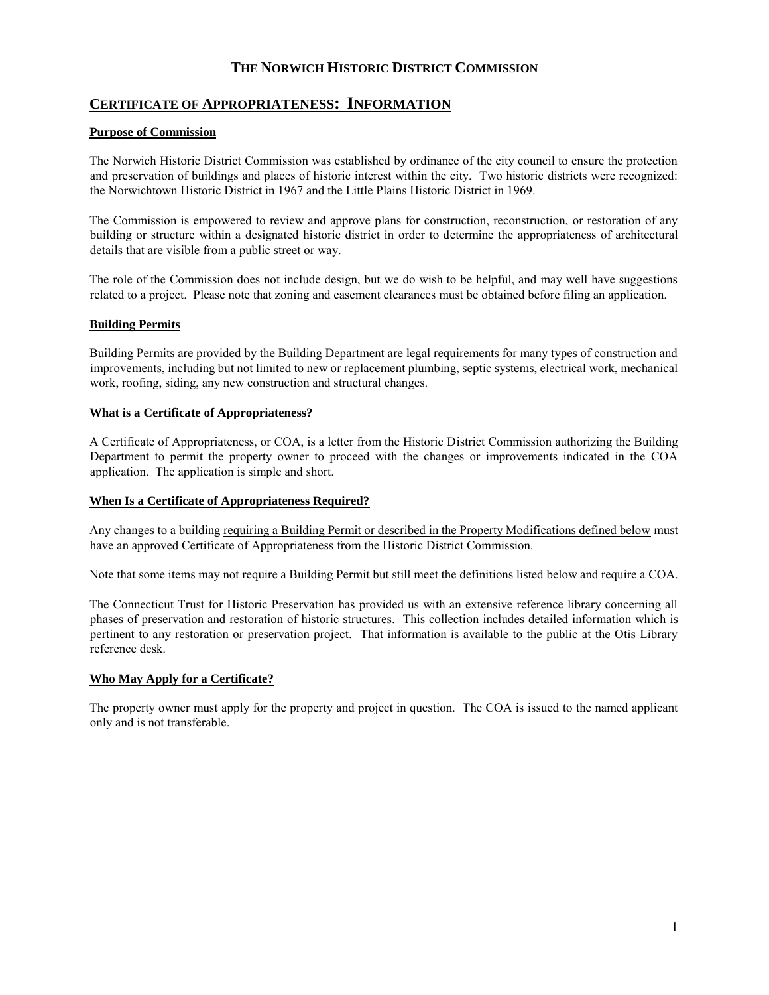# **CERTIFICATE OF APPROPRIATENESS: INFORMATION**

# **Purpose of Commission**

The Norwich Historic District Commission was established by ordinance of the city council to ensure the protection and preservation of buildings and places of historic interest within the city. Two historic districts were recognized: the Norwichtown Historic District in 1967 and the Little Plains Historic District in 1969.

The Commission is empowered to review and approve plans for construction, reconstruction, or restoration of any building or structure within a designated historic district in order to determine the appropriateness of architectural details that are visible from a public street or way.

The role of the Commission does not include design, but we do wish to be helpful, and may well have suggestions related to a project. Please note that zoning and easement clearances must be obtained before filing an application.

# **Building Permits**

Building Permits are provided by the Building Department are legal requirements for many types of construction and improvements, including but not limited to new or replacement plumbing, septic systems, electrical work, mechanical work, roofing, siding, any new construction and structural changes.

# **What is a Certificate of Appropriateness?**

A Certificate of Appropriateness, or COA, is a letter from the Historic District Commission authorizing the Building Department to permit the property owner to proceed with the changes or improvements indicated in the COA application. The application is simple and short.

## **When Is a Certificate of Appropriateness Required?**

Any changes to a building requiring a Building Permit or described in the Property Modifications defined below must have an approved Certificate of Appropriateness from the Historic District Commission.

Note that some items may not require a Building Permit but still meet the definitions listed below and require a COA.

The Connecticut Trust for Historic Preservation has provided us with an extensive reference library concerning all phases of preservation and restoration of historic structures. This collection includes detailed information which is pertinent to any restoration or preservation project. That information is available to the public at the Otis Library reference desk.

# **Who May Apply for a Certificate?**

The property owner must apply for the property and project in question. The COA is issued to the named applicant only and is not transferable.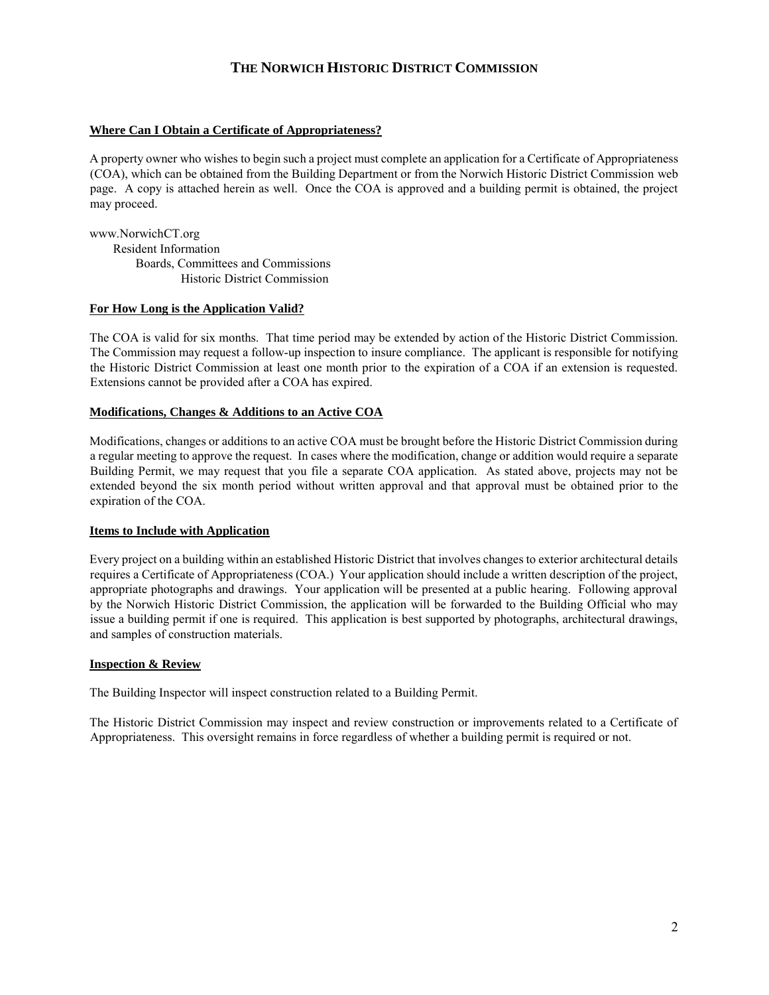## **Where Can I Obtain a Certificate of Appropriateness?**

A property owner who wishes to begin such a project must complete an application for a Certificate of Appropriateness (COA), which can be obtained from the Building Department or from the Norwich Historic District Commission web page. A copy is attached herein as well. Once the COA is approved and a building permit is obtained, the project may proceed.

www.NorwichCT.org Resident Information Boards, Committees and Commissions Historic District Commission

#### **For How Long is the Application Valid?**

The COA is valid for six months. That time period may be extended by action of the Historic District Commission. The Commission may request a follow-up inspection to insure compliance. The applicant is responsible for notifying the Historic District Commission at least one month prior to the expiration of a COA if an extension is requested. Extensions cannot be provided after a COA has expired.

## **Modifications, Changes & Additions to an Active COA**

Modifications, changes or additions to an active COA must be brought before the Historic District Commission during a regular meeting to approve the request. In cases where the modification, change or addition would require a separate Building Permit, we may request that you file a separate COA application. As stated above, projects may not be extended beyond the six month period without written approval and that approval must be obtained prior to the expiration of the COA.

#### **Items to Include with Application**

Every project on a building within an established Historic District that involves changes to exterior architectural details requires a Certificate of Appropriateness (COA.) Your application should include a written description of the project, appropriate photographs and drawings. Your application will be presented at a public hearing. Following approval by the Norwich Historic District Commission, the application will be forwarded to the Building Official who may issue a building permit if one is required. This application is best supported by photographs, architectural drawings, and samples of construction materials.

#### **Inspection & Review**

The Building Inspector will inspect construction related to a Building Permit.

The Historic District Commission may inspect and review construction or improvements related to a Certificate of Appropriateness. This oversight remains in force regardless of whether a building permit is required or not.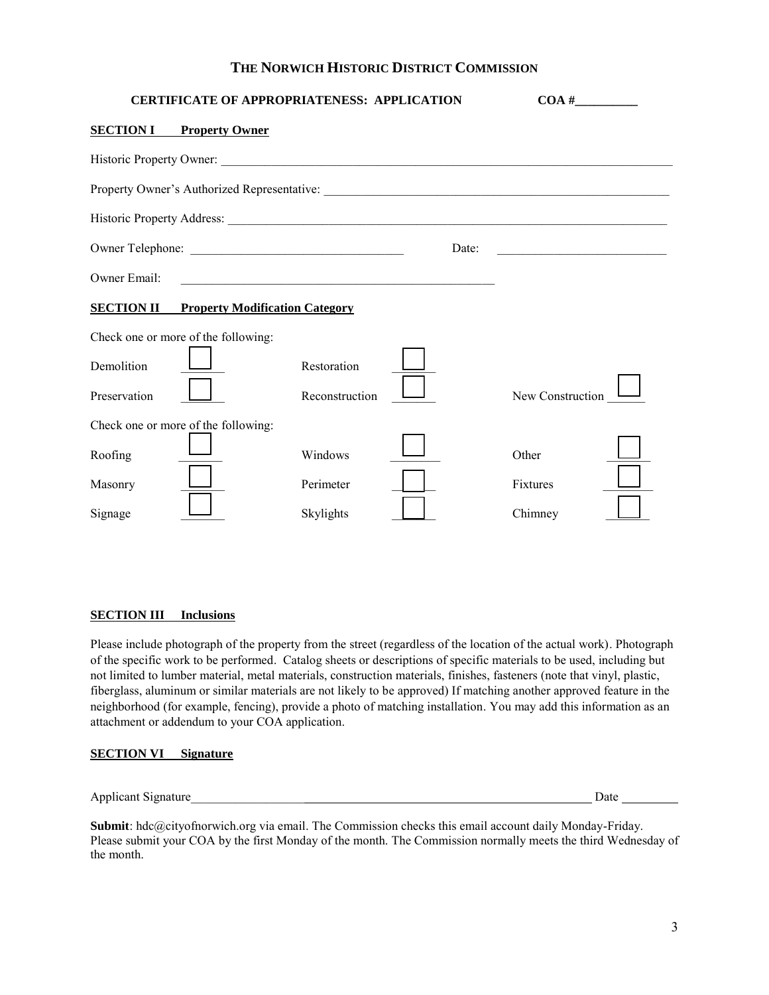| <b>CERTIFICATE OF APPROPRIATENESS: APPLICATION</b>                                                                                     |                |       | $\mathbf{COA} \#$                                   |
|----------------------------------------------------------------------------------------------------------------------------------------|----------------|-------|-----------------------------------------------------|
| <b>SECTION I</b><br><b>Property Owner</b>                                                                                              |                |       |                                                     |
|                                                                                                                                        |                |       |                                                     |
|                                                                                                                                        |                |       |                                                     |
|                                                                                                                                        |                |       |                                                     |
|                                                                                                                                        |                | Date: | <u> 1990 - Johann Barbara, martin amerikan basa</u> |
| Owner Email:<br><u> 1989 - Johann Stoff, deutscher Stoffen und der Stoffen und der Stoffen und der Stoffen und der Stoffen und der</u> |                |       |                                                     |
| <b>SECTION II Property Modification Category</b>                                                                                       |                |       |                                                     |
| Check one or more of the following:                                                                                                    |                |       |                                                     |
| Demolition                                                                                                                             | Restoration    |       |                                                     |
| Preservation                                                                                                                           | Reconstruction |       | New Construction                                    |
| Check one or more of the following:                                                                                                    |                |       |                                                     |
| Roofing                                                                                                                                | Windows        |       | Other                                               |
| Masonry                                                                                                                                | Perimeter      |       | Fixtures                                            |
| Signage                                                                                                                                | Skylights      |       | Chimney                                             |

# **SECTION III** Inclusions

Please include photograph of the property from the street (regardless of the location of the actual work). Photograph of the specific work to be performed. Catalog sheets or descriptions of specific materials to be used, including but not limited to lumber material, metal materials, construction materials, finishes, fasteners (note that vinyl, plastic, fiberglass, aluminum or similar materials are not likely to be approved) If matching another approved feature in the neighborhood (for example, fencing), provide a photo of matching installation. You may add this information as an attachment or addendum to your COA application.

## **SECTION VI Signature**

Applicant Signature\_\_\_\_\_\_\_\_\_\_\_\_\_\_\_\_\_\_ Date

**Submit**: hdc@cityofnorwich.org via email. The Commission checks this email account daily Monday-Friday. Please submit your COA by the first Monday of the month. The Commission normally meets the third Wednesday of the month.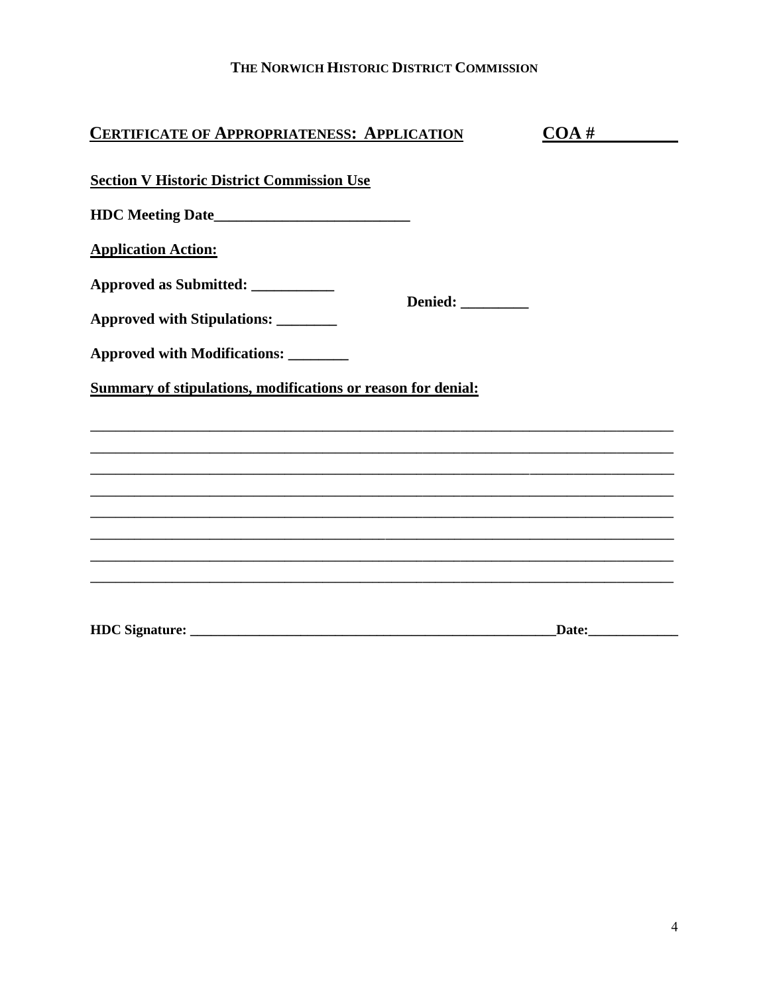| <b>CERTIFICATE OF APPROPRIATENESS: APPLICATION</b>                                                                    | COA#               |
|-----------------------------------------------------------------------------------------------------------------------|--------------------|
| <b>Section V Historic District Commission Use</b>                                                                     |                    |
|                                                                                                                       |                    |
| <b>Application Action:</b>                                                                                            |                    |
| Approved as Submitted: ___________                                                                                    |                    |
| Denied: _________<br>Approved with Stipulations: _______                                                              |                    |
| Approved with Modifications: ________                                                                                 |                    |
| <b>Summary of stipulations, modifications or reason for denial:</b>                                                   |                    |
| <u> 1989 - Johann Stoff, deutscher Stoffen und der Stoffen und der Stoffen und der Stoffen und der Stoffen und de</u> |                    |
|                                                                                                                       |                    |
|                                                                                                                       |                    |
|                                                                                                                       |                    |
|                                                                                                                       |                    |
|                                                                                                                       |                    |
|                                                                                                                       | Date: <u>Date:</u> |